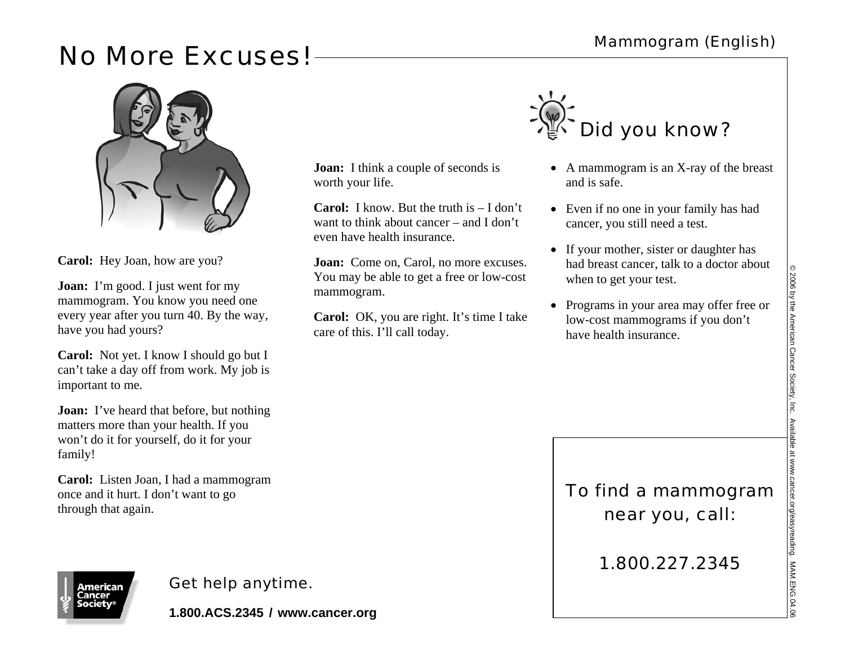## No More Excuses! Mammogram (English)



**Carol:** Hey Joan, how are you?

**Joan:** I'm good. I just went for my mammogram. You know you need one every year after you turn 40. By the way, have you had yours?

**Carol:** Not yet. I know I should go but I can't take a day off from work. My job is important to me.

**Joan:** I've heard that before, but nothing matters more than your health. If you won't do it for yourself, do it for your family!

**Carol:** Listen Joan, I had a mammogram once and it hurt. I don't want to go through that again.

**\mericar** 

## Get help anytime.

**1.800.ACS.2345 / www.cancer.org**

**Joan:** I think a couple of seconds is

even have health insurance.

care of this. I'll call today.

**Carol:** I know. But the truth is – I don't want to think about cancer – and I don't

**Joan:** Come on, Carol, no more excuses. You may be able to get a free or low-cost

**Carol:** OK, you are right. It's time I take

worth your life.

mammogram.



- A mammogram is an X-ray of the breast and is safe.
- Even if no one in your family has had cancer, you still need a test.
- If your mother, sister or daughter has had breast cancer, talk to a doctor about when to get your test.
- Programs in your area may offer free or low-cost mammograms if you don't have health insurance.

To find a mammogram near you, call:

1.800.227.2345